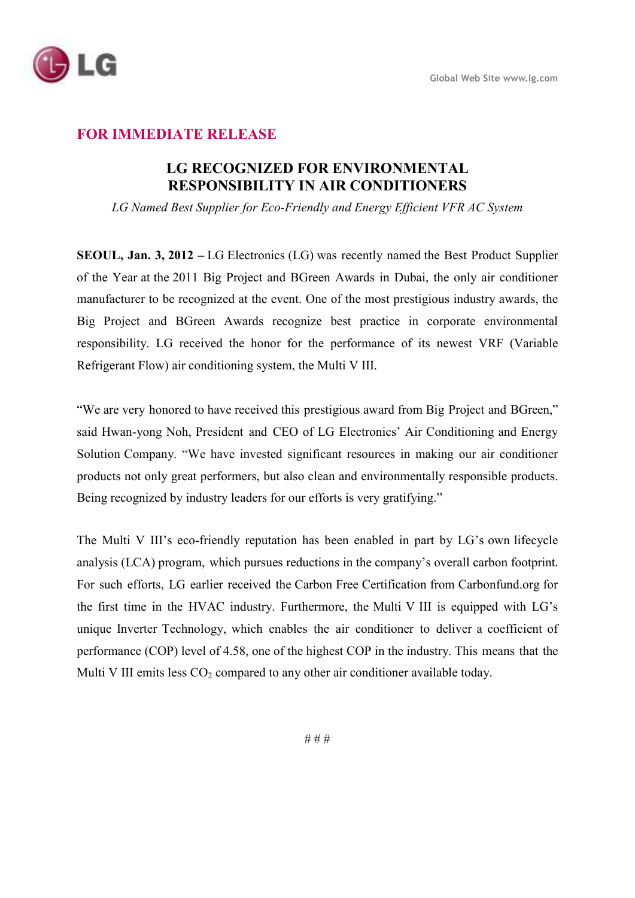

## **FOR IMMEDIATE RELEASE**

## **LG RECOGNIZED FOR ENVIRONMENTAL RESPONSIBILITY IN AIR CONDITIONERS**

*LG Named Best Supplier for Eco-Friendly and Energy Efficient VFR AC System* 

**SEOUL, Jan. 3, 2012 –** LG Electronics (LG) was recently named the Best Product Supplier of the Year at the 2011 Big Project and BGreen Awards in Dubai, the only air conditioner manufacturer to be recognized at the event. One of the most prestigious industry awards, the Big Project and BGreen Awards recognize best practice in corporate environmental responsibility. LG received the honor for the performance of its newest VRF (Variable Refrigerant Flow) air conditioning system, the Multi V III.

"We are very honored to have received this prestigious award from Big Project and BGreen," said Hwan-yong Noh, President and CEO of LG Electronics' Air Conditioning and Energy Solution Company. "We have invested significant resources in making our air conditioner products not only great performers, but also clean and environmentally responsible products. Being recognized by industry leaders for our efforts is very gratifying."

The Multi V III's eco-friendly reputation has been enabled in part by LG's own lifecycle analysis (LCA) program, which pursues reductions in the company's overall carbon footprint. For such efforts, LG earlier received the Carbon Free Certification from Carbonfund.org for the first time in the HVAC industry. Furthermore, the Multi V III is equipped with LG's unique Inverter Technology, which enables the air conditioner to deliver a coefficient of performance (COP) level of 4.58, one of the highest COP in the industry. This means that the Multi V III emits less  $CO<sub>2</sub>$  compared to any other air conditioner available today.

# # #